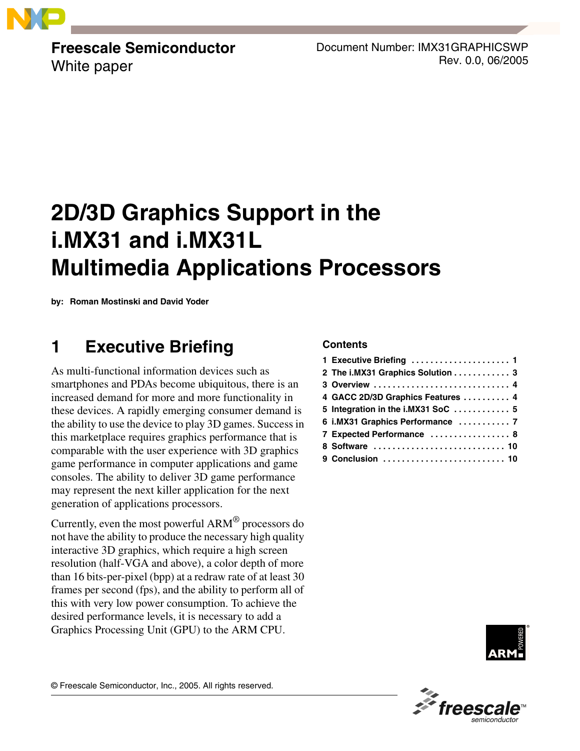

**Freescale Semiconductor** White paper

Document Number: IMX31GRAPHICSWP Rev. 0.0, 06/2005

# **2D/3D Graphics Support in the i.MX31 and i.MX31L Multimedia Applications Processors**

**by: Roman Mostinski and David Yoder**

# <span id="page-0-0"></span>**1 Executive Briefing**

As multi-functional information devices such as smartphones and PDAs become ubiquitous, there is an increased demand for more and more functionality in these devices. A rapidly emerging consumer demand is the ability to use the device to play 3D games. Success in this marketplace requires graphics performance that is comparable with the user experience with 3D graphics game performance in computer applications and game consoles. The ability to deliver 3D game performance may represent the next killer application for the next generation of applications processors.

Currently, even the most powerful ARM® processors do not have the ability to produce the necessary high quality interactive 3D graphics, which require a high screen resolution (half-VGA and above), a color depth of more than 16 bits-per-pixel (bpp) at a redraw rate of at least 30 frames per second (fps), and the ability to perform all of this with very low power consumption. To achieve the desired performance levels, it is necessary to add a Graphics Processing Unit (GPU) to the ARM CPU.

## **Contents**

| 1 Executive Briefing  1            |
|------------------------------------|
| 2 The i.MX31 Graphics Solution  3  |
| 3 Overview  4                      |
| 4 GACC 2D/3D Graphics Features  4  |
| 5 Integration in the i.MX31 SoC  5 |
| 6 i.MX31 Graphics Performance  7   |
| 7 Expected Performance  8          |
| 8 Software  10                     |
|                                    |
|                                    |



semiconducto

 $\mathscr{F}$  freeso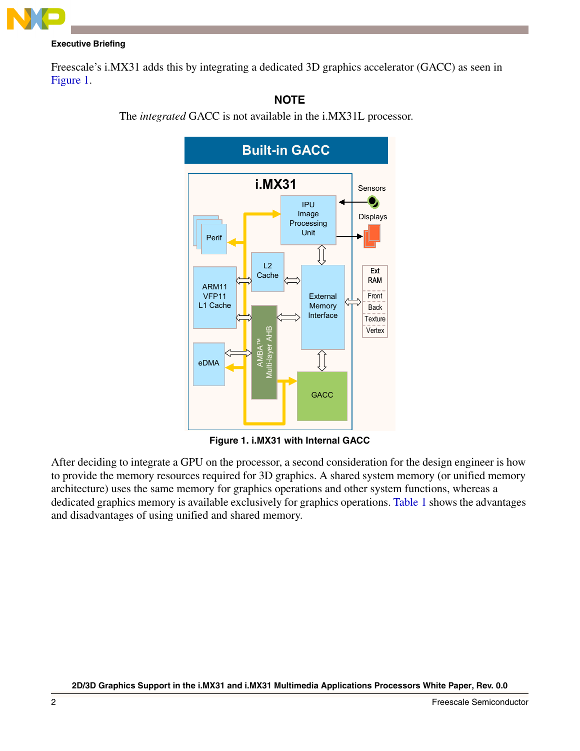

## **Executive Briefing**

Freescale's i.MX31 adds this by integrating a dedicated 3D graphics accelerator (GACC) as seen in [Figure 1](#page-1-0).

## **NOTE**

The *integrated* GACC is not available in the i.MX31L processor.



**Figure 1. i.MX31 with Internal GACC**

<span id="page-1-0"></span>After deciding to integrate a GPU on the processor, a second consideration for the design engineer is how to provide the memory resources required for 3D graphics. A shared system memory (or unified memory architecture) uses the same memory for graphics operations and other system functions, whereas a dedicated graphics memory is available exclusively for graphics operations. [Table 1](#page-2-1) shows the advantages and disadvantages of using unified and shared memory.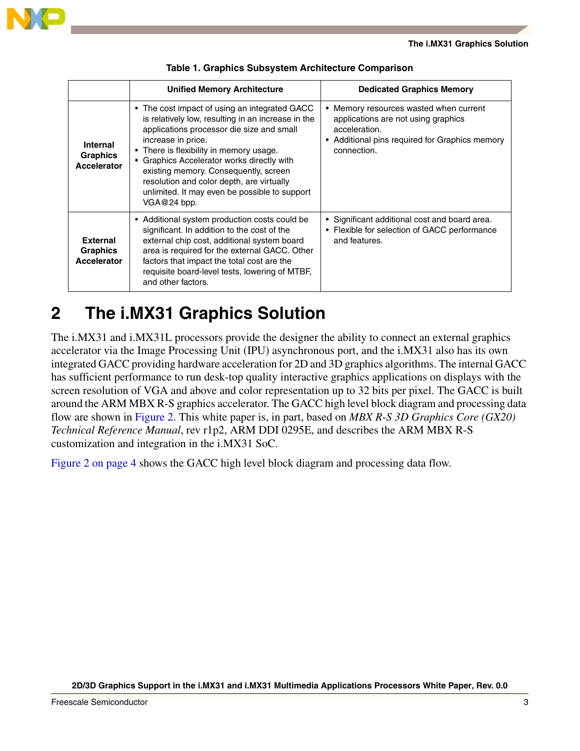

<span id="page-2-1"></span>

|                                                                                                                                                                                                                                                                                                                                                                                | <b>Unified Memory Architecture</b>                                                                                                                                                                                                                                                                                                                                                                                  | <b>Dedicated Graphics Memory</b>                                                                                                                                         |
|--------------------------------------------------------------------------------------------------------------------------------------------------------------------------------------------------------------------------------------------------------------------------------------------------------------------------------------------------------------------------------|---------------------------------------------------------------------------------------------------------------------------------------------------------------------------------------------------------------------------------------------------------------------------------------------------------------------------------------------------------------------------------------------------------------------|--------------------------------------------------------------------------------------------------------------------------------------------------------------------------|
| Internal<br><b>Graphics</b><br><b>Accelerator</b>                                                                                                                                                                                                                                                                                                                              | • The cost impact of using an integrated GACC<br>is relatively low, resulting in an increase in the<br>applications processor die size and small<br>increase in price.<br>• There is flexibility in memory usage.<br>Graphics Accelerator works directly with<br>existing memory. Consequently, screen<br>resolution and color depth, are virtually<br>unlimited. It may even be possible to support<br>VGA@24 bpp. | Memory resources wasted when current<br>applications are not using graphics<br>acceleration.<br>Additional pins required for Graphics memory<br>$\bullet$<br>connection. |
| • Additional system production costs could be<br>significant. In addition to the cost of the<br><b>External</b><br>external chip cost, additional system board<br>area is required for the external GACC. Other<br><b>Graphics</b><br><b>Accelerator</b><br>factors that impact the total cost are the<br>requisite board-level tests, lowering of MTBF,<br>and other factors. |                                                                                                                                                                                                                                                                                                                                                                                                                     | Significant additional cost and board area.<br>Flexible for selection of GACC performance<br>and features.                                                               |

**Table 1. Graphics Subsystem Architecture Comparison**

# <span id="page-2-0"></span>**2 The i.MX31 Graphics Solution**

The i.MX31 and i.MX31L processors provide the designer the ability to connect an external graphics accelerator via the Image Processing Unit (IPU) asynchronous port, and the i.MX31 also has its own integrated GACC providing hardware acceleration for 2D and 3D graphics algorithms. The internal GACC has sufficient performance to run desk-top quality interactive graphics applications on displays with the screen resolution of VGA and above and color representation up to 32 bits per pixel. The GACC is built around the ARM MBX R-S graphics accelerator. The GACC high level block diagram and processing data flow are shown in [Figure 2.](#page-3-2) This white paper is, in part, based on *MBX R-S 3D Graphics Core (GX20) Technical Reference Manual*, rev r1p2, ARM DDI 0295E, and describes the ARM MBX R-S customization and integration in the i.MX31 SoC.

[Figure 2 on page 4](#page-3-2) shows the GACC high level block diagram and processing data flow.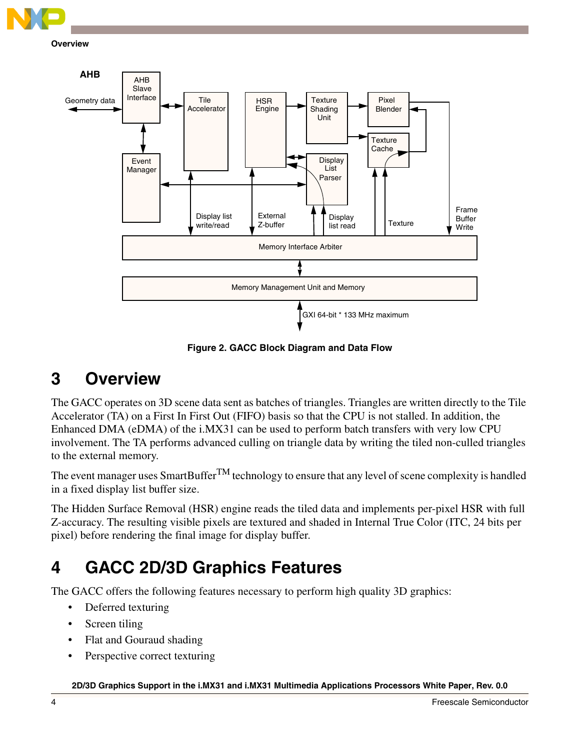



**Figure 2. GACC Block Diagram and Data Flow**

## <span id="page-3-2"></span><span id="page-3-0"></span>**3 Overview**

The GACC operates on 3D scene data sent as batches of triangles. Triangles are written directly to the Tile Accelerator (TA) on a First In First Out (FIFO) basis so that the CPU is not stalled. In addition, the Enhanced DMA (eDMA) of the i.MX31 can be used to perform batch transfers with very low CPU involvement. The TA performs advanced culling on triangle data by writing the tiled non-culled triangles to the external memory.

The event manager uses SmartBuffer<sup>TM</sup> technology to ensure that any level of scene complexity is handled in a fixed display list buffer size.

The Hidden Surface Removal (HSR) engine reads the tiled data and implements per-pixel HSR with full Z-accuracy. The resulting visible pixels are textured and shaded in Internal True Color (ITC, 24 bits per pixel) before rendering the final image for display buffer.

# <span id="page-3-1"></span>**4 GACC 2D/3D Graphics Features**

The GACC offers the following features necessary to perform high quality 3D graphics:

- Deferred texturing
- Screen tiling
- Flat and Gouraud shading
- Perspective correct texturing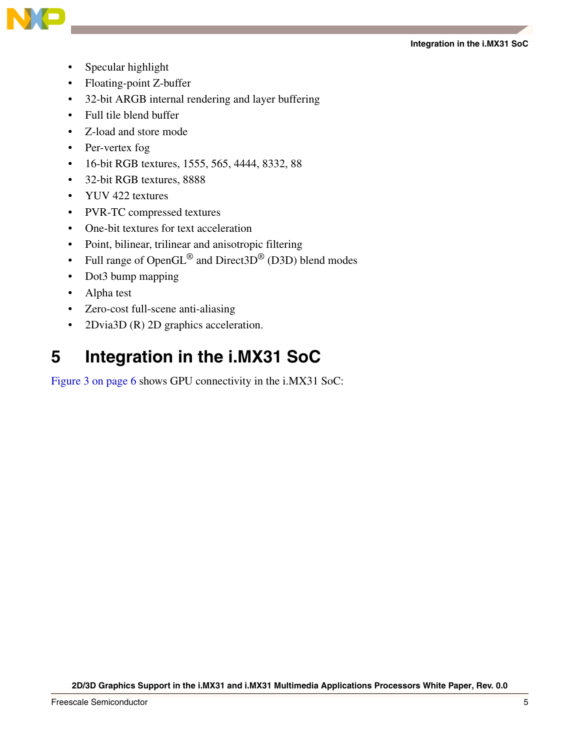### **Integration in the i.MX31 SoC**



- Specular highlight
- Floating-point Z-buffer
- 32-bit ARGB internal rendering and layer buffering
- Full tile blend buffer
- Z-load and store mode
- Per-vertex fog
- 16-bit RGB textures, 1555, 565, 4444, 8332, 88
- 32-bit RGB textures, 8888
- YUV 422 textures
- PVR-TC compressed textures
- One-bit textures for text acceleration
- Point, bilinear, trilinear and anisotropic filtering
- Full range of  $OpenGL^{\circledast}$  and  $Direct3D^{\circledast}$  (D3D) blend modes
- Dot3 bump mapping
- Alpha test
- Zero-cost full-scene anti-aliasing
- 2Dvia3D (R) 2D graphics acceleration.

# <span id="page-4-0"></span>**5 Integration in the i.MX31 SoC**

[Figure 3 on page 6](#page-5-0) shows GPU connectivity in the i.MX31 SoC: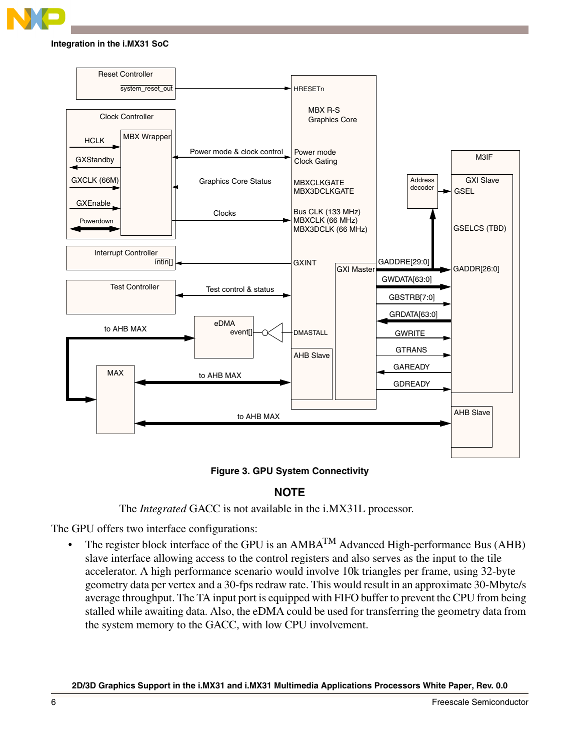

### **Integration in the i.MX31 SoC**



**Figure 3. GPU System Connectivity**

## **NOTE**

The *Integrated* GACC is not available in the i.MX31L processor.

<span id="page-5-0"></span>The GPU offers two interface configurations:

The register block interface of the GPU is an  $AMBA<sup>TM</sup>$  Advanced High-performance Bus (AHB) slave interface allowing access to the control registers and also serves as the input to the tile accelerator. A high performance scenario would involve 10k triangles per frame, using 32-byte geometry data per vertex and a 30-fps redraw rate. This would result in an approximate 30-Mbyte/s average throughput. The TA input port is equipped with FIFO buffer to prevent the CPU from being stalled while awaiting data. Also, the eDMA could be used for transferring the geometry data from the system memory to the GACC, with low CPU involvement.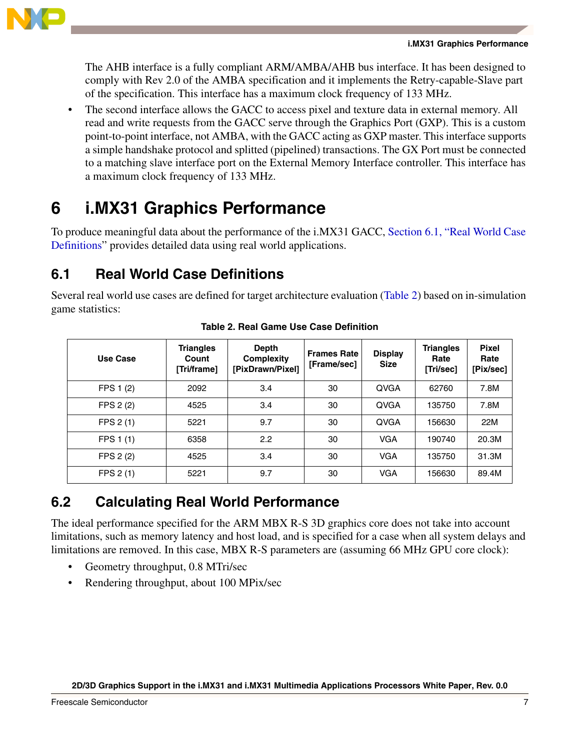

The AHB interface is a fully compliant ARM/AMBA/AHB bus interface. It has been designed to comply with Rev 2.0 of the AMBA specification and it implements the Retry-capable-Slave part of the specification. This interface has a maximum clock frequency of 133 MHz.

The second interface allows the GACC to access pixel and texture data in external memory. All read and write requests from the GACC serve through the Graphics Port (GXP). This is a custom point-to-point interface, not AMBA, with the GACC acting as GXP master. This interface supports a simple handshake protocol and splitted (pipelined) transactions. The GX Port must be connected to a matching slave interface port on the External Memory Interface controller. This interface has a maximum clock frequency of 133 MHz.

# <span id="page-6-0"></span>**6 i.MX31 Graphics Performance**

To produce meaningful data about the performance of the i.MX31 GACC, [Section 6.1, "Real World Case](#page-6-2)  [Definitions"](#page-6-2) provides detailed data using real world applications.

## <span id="page-6-2"></span>**6.1 Real World Case Definitions**

Several real world use cases are defined for target architecture evaluation [\(Table 2\)](#page-6-1) based on in-simulation game statistics:

<span id="page-6-1"></span>

| Use Case  | <b>Triangles</b><br>Count<br>[Tri/frame] | Depth<br><b>Complexity</b><br>[PixDrawn/Pixel] | <b>Frames Rate</b><br>[Frame/sec] | <b>Display</b><br><b>Size</b> | <b>Triangles</b><br>Rate<br>[Tri/sec] | <b>Pixel</b><br>Rate<br>[Pix/sec] |
|-----------|------------------------------------------|------------------------------------------------|-----------------------------------|-------------------------------|---------------------------------------|-----------------------------------|
| FPS 1 (2) | 2092                                     | 3.4                                            | 30                                | QVGA                          | 62760                                 | 7.8M                              |
| FPS 2 (2) | 4525                                     | 3.4                                            | 30                                | QVGA                          | 135750                                | 7.8M                              |
| FPS 2 (1) | 5221                                     | 9.7                                            | 30                                | QVGA                          | 156630                                | 22M                               |
| FPS 1 (1) | 6358                                     | 2.2                                            | 30                                | <b>VGA</b>                    | 190740                                | 20.3M                             |
| FPS 2 (2) | 4525                                     | 3.4                                            | 30                                | <b>VGA</b>                    | 135750                                | 31.3M                             |
| FPS 2 (1) | 5221                                     | 9.7                                            | 30                                | <b>VGA</b>                    | 156630                                | 89.4M                             |

**Table 2. Real Game Use Case Definition**

## **6.2 Calculating Real World Performance**

The ideal performance specified for the ARM MBX R-S 3D graphics core does not take into account limitations, such as memory latency and host load, and is specified for a case when all system delays and limitations are removed. In this case, MBX R-S parameters are (assuming 66 MHz GPU core clock):

- Geometry throughput, 0.8 MTri/sec
- Rendering throughput, about 100 MPix/sec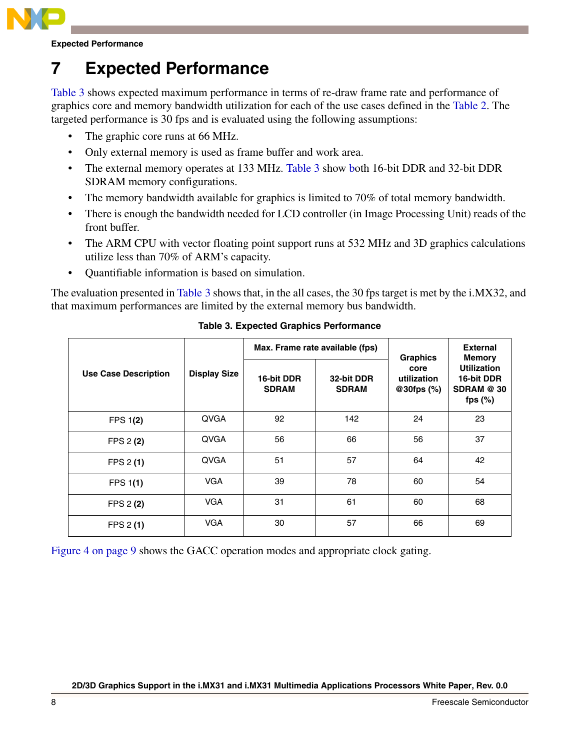

**Expected Performance**

# <span id="page-7-0"></span>**7 Expected Performance**

[Table 3](#page-7-1) shows expected maximum performance in terms of re-draw frame rate and performance of graphics core and memory bandwidth utilization for each of the use cases defined in the [Table 2.](#page-6-1) The targeted performance is 30 fps and is evaluated using the following assumptions:

- The graphic core runs at 66 MHz.
- Only external memory is used as frame buffer and work area.
- The external memory operates at 133 MHz. [Table 3](#page-7-1) show both 16-bit DDR and 32-bit DDR SDRAM memory configurations.
- The memory bandwidth available for graphics is limited to 70% of total memory bandwidth.
- There is enough the bandwidth needed for LCD controller (in Image Processing Unit) reads of the front buffer.
- The ARM CPU with vector floating point support runs at 532 MHz and 3D graphics calculations utilize less than 70% of ARM's capacity.
- Quantifiable information is based on simulation.

The evaluation presented in [Table 3](#page-7-1) shows that, in the all cases, the 30 fps target is met by the i.MX32, and that maximum performances are limited by the external memory bus bandwidth.

<span id="page-7-1"></span>

|                             |                     |                            | Max. Frame rate available (fps) | <b>Graphics</b>                   | <b>External</b><br><b>Memory</b><br><b>Utilization</b><br>16-bit DDR<br>SDRAM @ 30<br>fps $(\%)$ |  |
|-----------------------------|---------------------|----------------------------|---------------------------------|-----------------------------------|--------------------------------------------------------------------------------------------------|--|
| <b>Use Case Description</b> | <b>Display Size</b> | 16-bit DDR<br><b>SDRAM</b> | 32-bit DDR<br><b>SDRAM</b>      | core<br>utilization<br>@30fps (%) |                                                                                                  |  |
| FPS 1(2)                    | QVGA                | 92                         | 142                             | 24                                | 23                                                                                               |  |
| FPS 2 (2)                   | QVGA                | 56                         | 66                              | 56                                | 37                                                                                               |  |
| FPS 2 (1)                   | QVGA                | 51                         | 57                              | 64                                | 42                                                                                               |  |
| FPS $1(1)$                  | <b>VGA</b>          | 39                         | 78                              | 60                                | 54                                                                                               |  |
| FPS 2 (2)                   | <b>VGA</b>          | 31                         | 61                              | 60                                | 68                                                                                               |  |
| FPS 2(1)                    | <b>VGA</b>          | 30                         | 57                              | 66                                | 69                                                                                               |  |

## **Table 3. Expected Graphics Performance**

[Figure 4 on page 9](#page-8-0) shows the GACC operation modes and appropriate clock gating.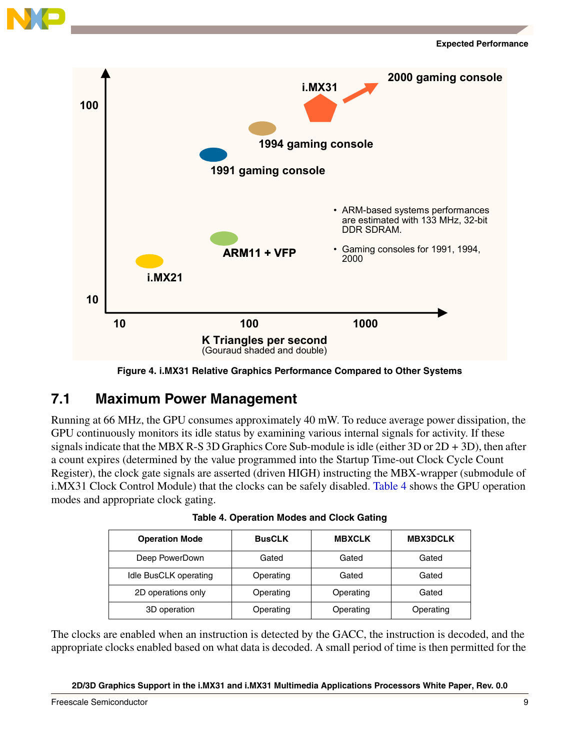

**Figure 4. i.MX31 Relative Graphics Performance Compared to Other Systems**

## <span id="page-8-0"></span>**7.1 Maximum Power Management**

Running at 66 MHz, the GPU consumes approximately 40 mW. To reduce average power dissipation, the GPU continuously monitors its idle status by examining various internal signals for activity. If these signals indicate that the MBX R-S 3D Graphics Core Sub-module is idle (either 3D or  $2D + 3D$ ), then after a count expires (determined by the value programmed into the Startup Time-out Clock Cycle Count Register), the clock gate signals are asserted (driven HIGH) instructing the MBX-wrapper (submodule of i.MX31 Clock Control Module) that the clocks can be safely disabled. [Table 4](#page-8-1) shows the GPU operation modes and appropriate clock gating.

<span id="page-8-1"></span>

| <b>Operation Mode</b> | <b>BusCLK</b> | <b>MBXCLK</b> | <b>MBX3DCLK</b> |  |
|-----------------------|---------------|---------------|-----------------|--|
| Deep PowerDown        | Gated         | Gated         | Gated           |  |
| Idle BusCLK operating | Operating     | Gated         | Gated           |  |
| 2D operations only    | Operating     | Operating     | Gated           |  |
| 3D operation          | Operating     | Operating     | Operating       |  |

|  | <b>Table 4. Operation Modes and Clock Gating</b> |  |  |  |  |
|--|--------------------------------------------------|--|--|--|--|
|--|--------------------------------------------------|--|--|--|--|

The clocks are enabled when an instruction is detected by the GACC, the instruction is decoded, and the appropriate clocks enabled based on what data is decoded. A small period of time is then permitted for the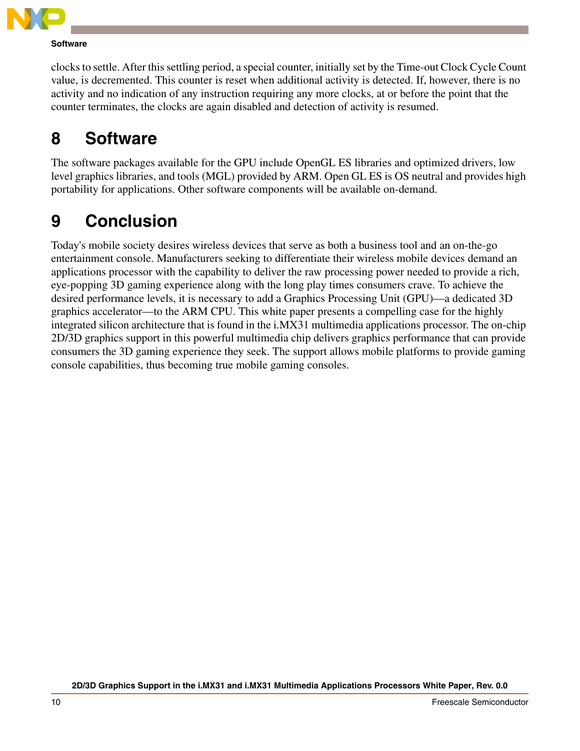

## **Software**

clocks to settle. After this settling period, a special counter, initially set by the Time-out Clock Cycle Count value, is decremented. This counter is reset when additional activity is detected. If, however, there is no activity and no indication of any instruction requiring any more clocks, at or before the point that the counter terminates, the clocks are again disabled and detection of activity is resumed.

# <span id="page-9-0"></span>**8 Software**

The software packages available for the GPU include OpenGL ES libraries and optimized drivers, low level graphics libraries, and tools (MGL) provided by ARM. Open GL ES is OS neutral and provides high portability for applications. Other software components will be available on-demand.

# <span id="page-9-1"></span>**9 Conclusion**

Today's mobile society desires wireless devices that serve as both a business tool and an on-the-go entertainment console. Manufacturers seeking to differentiate their wireless mobile devices demand an applications processor with the capability to deliver the raw processing power needed to provide a rich, eye-popping 3D gaming experience along with the long play times consumers crave. To achieve the desired performance levels, it is necessary to add a Graphics Processing Unit (GPU)—a dedicated 3D graphics accelerator—to the ARM CPU. This white paper presents a compelling case for the highly integrated silicon architecture that is found in the i.MX31 multimedia applications processor. The on-chip 2D/3D graphics support in this powerful multimedia chip delivers graphics performance that can provide consumers the 3D gaming experience they seek. The support allows mobile platforms to provide gaming console capabilities, thus becoming true mobile gaming consoles.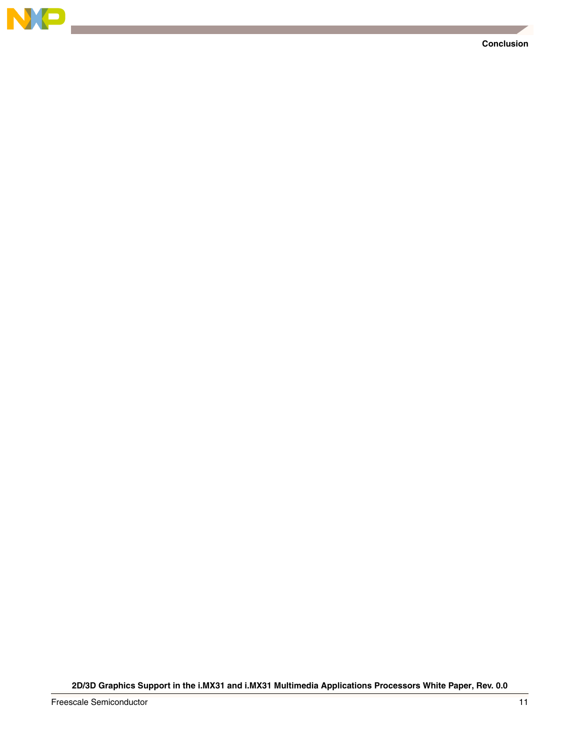

 $\overline{\phantom{a}}$ 

**Conclusion**